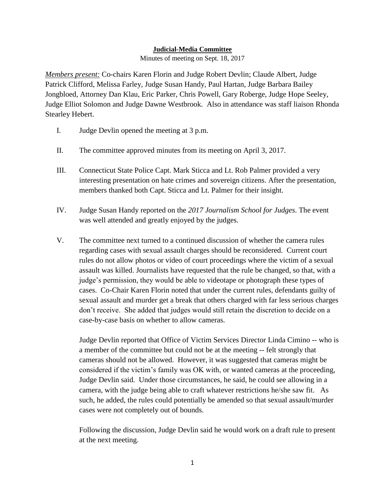## **Judicial-Media Committee**

Minutes of meeting on Sept. 18, 2017

*Members present:* Co-chairs Karen Florin and Judge Robert Devlin; Claude Albert, Judge Patrick Clifford, Melissa Farley, Judge Susan Handy, Paul Hartan, Judge Barbara Bailey Jongbloed, Attorney Dan Klau, Eric Parker, Chris Powell, Gary Roberge, Judge Hope Seeley, Judge Elliot Solomon and Judge Dawne Westbrook. Also in attendance was staff liaison Rhonda Stearley Hebert.

- I. Judge Devlin opened the meeting at 3 p.m.
- II. The committee approved minutes from its meeting on April 3, 2017.
- III. Connecticut State Police Capt. Mark Sticca and Lt. Rob Palmer provided a very interesting presentation on hate crimes and sovereign citizens. After the presentation, members thanked both Capt. Sticca and Lt. Palmer for their insight.
- IV. Judge Susan Handy reported on the *2017 Journalism School for Judges*. The event was well attended and greatly enjoyed by the judges.
- V. The committee next turned to a continued discussion of whether the camera rules regarding cases with sexual assault charges should be reconsidered. Current court rules do not allow photos or video of court proceedings where the victim of a sexual assault was killed. Journalists have requested that the rule be changed, so that, with a judge's permission, they would be able to videotape or photograph these types of cases. Co-Chair Karen Florin noted that under the current rules, defendants guilty of sexual assault and murder get a break that others charged with far less serious charges don't receive. She added that judges would still retain the discretion to decide on a case-by-case basis on whether to allow cameras.

Judge Devlin reported that Office of Victim Services Director Linda Cimino -- who is a member of the committee but could not be at the meeting -- felt strongly that cameras should not be allowed. However, it was suggested that cameras might be considered if the victim's family was OK with, or wanted cameras at the proceeding, Judge Devlin said. Under those circumstances, he said, he could see allowing in a camera, with the judge being able to craft whatever restrictions he/she saw fit. As such, he added, the rules could potentially be amended so that sexual assault/murder cases were not completely out of bounds.

Following the discussion, Judge Devlin said he would work on a draft rule to present at the next meeting.